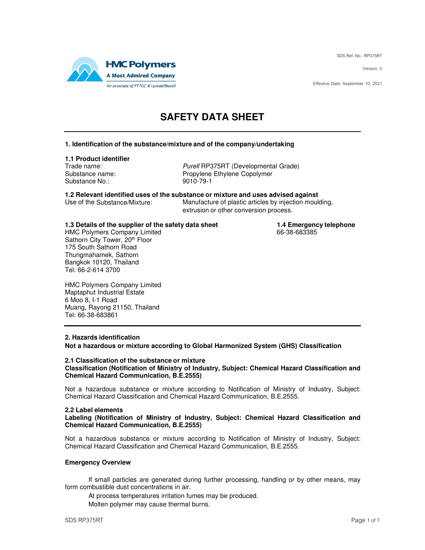SDS Ref. No.: RP375RT

Version: 0

Effective Date: September 10, 2021



# **SAFETY DATA SHEET**

### **1. Identification of the substance/mixture and of the company/undertaking**

### **1.1 Product identifier**

Substance No.: 9010-79-1

Trade name: example and the Purell RP375RT (Developmental Grade) Substance name: Propylene Ethylene Copolymer

**1.2 Relevant identified uses of the substance or mixture and uses advised against** Manufacture of plastic articles by injection moulding,

extrusion or other conversion process.

**1.3 Details of the supplier of the safety data sheet 1.4 Emergency telephone**<br>HMC Polymers Company Limited **1.4 Emergency telephone** 

HMC Polymers Company Limited Sathorn City Tower, 20th Floor 175 South Sathorn Road Thungmahamek, Sathorn Bangkok 10120, Thailand Tel: 66-2-614 3700

HMC Polymers Company Limited Maptaphut Industrial Estate 6 Moo 8, I-1 Road Muang, Rayong 21150, Thailand Tel: 66-38-683861

### **2. Hazards identification**

**Not a hazardous or mixture according to Global Harmonized System (GHS) Classification** 

#### **2.1 Classification of the substance or mixture Classification (Notification of Ministry of Industry, Subject: Chemical Hazard Classification and Chemical Hazard Communication, B.E.2555)**

Not a hazardous substance or mixture according to Notification of Ministry of Industry, Subject: Chemical Hazard Classification and Chemical Hazard Communication, B.E.2555.

### **2.2 Label elements**

**Labeling (Notification of Ministry of Industry, Subject: Chemical Hazard Classification and Chemical Hazard Communication, B.E.2555)** 

Not a hazardous substance or mixture according to Notification of Ministry of Industry, Subject: Chemical Hazard Classification and Chemical Hazard Communication, B.E.2555.

### **Emergency Overview**

If small particles are generated during further processing, handling or by other means, may form combustible dust concentrations in air.

At process temperatures irritation fumes may be produced.

Molten polymer may cause thermal burns.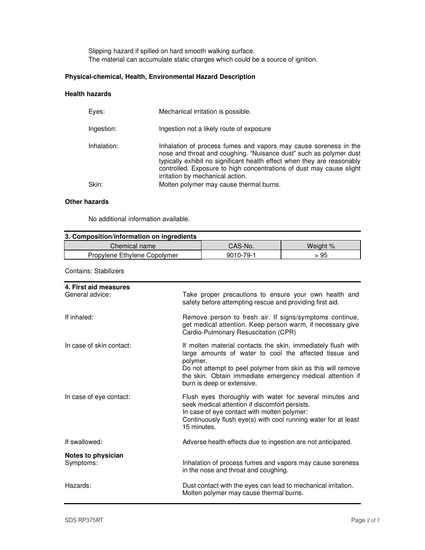Slipping hazard if spilled on hard smooth walking surface. The material can accumulate static charges which could be a source of ignition.

# **Physical-chemical, Health, Environmental Hazard Description**

### **Health hazards**

| Eves:       | Mechanical irritation is possible.                                                                                                                                                                                                                                                                                            |
|-------------|-------------------------------------------------------------------------------------------------------------------------------------------------------------------------------------------------------------------------------------------------------------------------------------------------------------------------------|
| Ingestion:  | Ingestion not a likely route of exposure                                                                                                                                                                                                                                                                                      |
| Inhalation: | Inhalation of process fumes and vapors may cause soreness in the<br>nose and throat and coughing. "Nuisance dust" such as polymer dust<br>typically exhibit no significant health effect when they are reasonably<br>controlled. Exposure to high concentrations of dust may cause slight<br>irritation by mechanical action. |
| Skin:       | Molten polymer may cause thermal burns.                                                                                                                                                                                                                                                                                       |
|             |                                                                                                                                                                                                                                                                                                                               |

#### **Other hazards**

No additional information available.

| 3. Composition/information on ingredients |           |          |  |
|-------------------------------------------|-----------|----------|--|
| Chemical name                             | CAS-No.   | Weight % |  |
| Propylene Ethylene Copolymer              | 9010-79-1 | > 95     |  |

Contains: Stabilizers

| 4. First aid measures<br>General advice: | Take proper precautions to ensure your own health and<br>safety before attempting rescue and providing first aid.                                                                                                                                                                             |
|------------------------------------------|-----------------------------------------------------------------------------------------------------------------------------------------------------------------------------------------------------------------------------------------------------------------------------------------------|
| If inhaled:                              | Remove person to fresh air. If signs/symptoms continue,<br>get medical attention. Keep person warm, if necessary give<br>Cardio-Pulmonary Resuscitation (CPR)                                                                                                                                 |
| In case of skin contact:                 | If molten material contacts the skin, immediately flush with<br>large amounts of water to cool the affected tissue and<br>polymer.<br>Do not attempt to peel polymer from skin as this will remove<br>the skin. Obtain immediate emergency medical attention if<br>burn is deep or extensive. |
| In case of eye contact:                  | Flush eyes thoroughly with water for several minutes and<br>seek medical attention if discomfort persists.<br>In case of eye contact with molten polymer:<br>Continuously flush eye(s) with cool running water for at least<br>15 minutes.                                                    |
| If swallowed:                            | Adverse health effects due to ingestion are not anticipated.                                                                                                                                                                                                                                  |
| Notes to physician<br>Symptoms:          | Inhalation of process fumes and vapors may cause soreness<br>in the nose and throat and coughing.                                                                                                                                                                                             |
| Hazards:                                 | Dust contact with the eyes can lead to mechanical irritation.<br>Molten polymer may cause thermal burns.                                                                                                                                                                                      |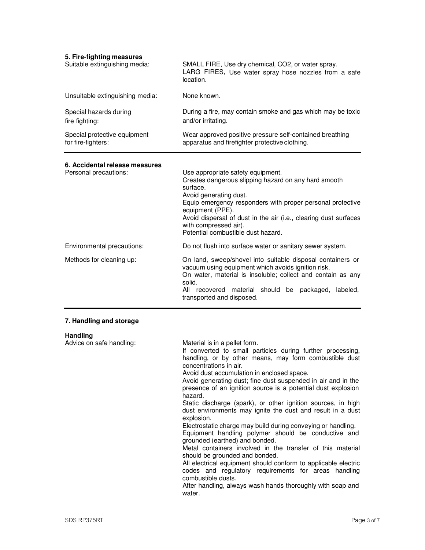| 5. Fire-fighting measures<br>Suitable extinguishing media: | SMALL FIRE, Use dry chemical, CO2, or water spray.<br>LARG FIRES, Use water spray hose nozzles from a safe<br>location.                                                                                                                                                                                                                                                                                                                                                                                                                                                                                                                                                                                                                                                       |
|------------------------------------------------------------|-------------------------------------------------------------------------------------------------------------------------------------------------------------------------------------------------------------------------------------------------------------------------------------------------------------------------------------------------------------------------------------------------------------------------------------------------------------------------------------------------------------------------------------------------------------------------------------------------------------------------------------------------------------------------------------------------------------------------------------------------------------------------------|
| Unsuitable extinguishing media:                            | None known.                                                                                                                                                                                                                                                                                                                                                                                                                                                                                                                                                                                                                                                                                                                                                                   |
| Special hazards during<br>fire fighting:                   | During a fire, may contain smoke and gas which may be toxic<br>and/or irritating.                                                                                                                                                                                                                                                                                                                                                                                                                                                                                                                                                                                                                                                                                             |
| Special protective equipment<br>for fire-fighters:         | Wear approved positive pressure self-contained breathing<br>apparatus and firefighter protective clothing.                                                                                                                                                                                                                                                                                                                                                                                                                                                                                                                                                                                                                                                                    |
| 6. Accidental release measures<br>Personal precautions:    | Use appropriate safety equipment.<br>Creates dangerous slipping hazard on any hard smooth<br>surface.<br>Avoid generating dust.<br>Equip emergency responders with proper personal protective<br>equipment (PPE).<br>Avoid dispersal of dust in the air (i.e., clearing dust surfaces<br>with compressed air).<br>Potential combustible dust hazard.                                                                                                                                                                                                                                                                                                                                                                                                                          |
| Environmental precautions:                                 | Do not flush into surface water or sanitary sewer system.                                                                                                                                                                                                                                                                                                                                                                                                                                                                                                                                                                                                                                                                                                                     |
| Methods for cleaning up:                                   | On land, sweep/shovel into suitable disposal containers or<br>vacuum using equipment which avoids ignition risk.<br>On water, material is insoluble; collect and contain as any<br>solid.<br>All recovered material should be packaged,<br>labeled,<br>transported and disposed.                                                                                                                                                                                                                                                                                                                                                                                                                                                                                              |
| 7. Handling and storage                                    |                                                                                                                                                                                                                                                                                                                                                                                                                                                                                                                                                                                                                                                                                                                                                                               |
| <b>Handling</b><br>Advice on safe handling:                | Material is in a pellet form.<br>If converted to small particles during further processing,<br>handling, or by other means, may form combustible dust<br>concentrations in air.<br>Avoid dust accumulation in enclosed space.<br>Avoid generating dust; fine dust suspended in air and in the<br>presence of an ignition source is a potential dust explosion<br>hazard.<br>Static discharge (spark), or other ignition sources, in high<br>dust environments may ignite the dust and result in a dust<br>explosion.<br>Electrostatic charge may build during conveying or handling.<br>Equipment handling polymer should be conductive and<br>grounded (earthed) and bonded.<br>Metal containers involved in the transfer of this material<br>should be grounded and bonded. |

All electrical equipment should conform to applicable electric codes and regulatory requirements for areas handling combustible dusts.

After handling, always wash hands thoroughly with soap and water.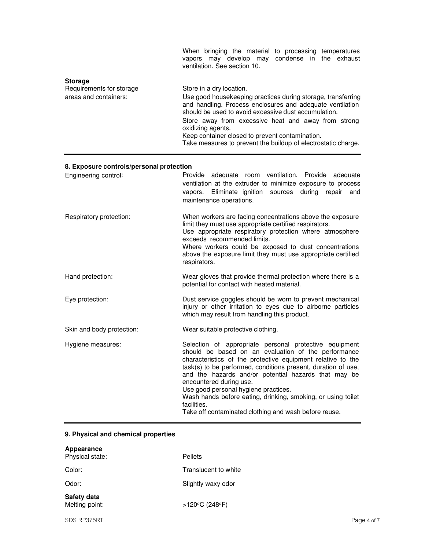|                                                                     | When bringing the material to processing temperatures<br>vapors may develop may condense in the exhaust<br>ventilation. See section 10.                                                                                                                                                                                                                                                                       |
|---------------------------------------------------------------------|---------------------------------------------------------------------------------------------------------------------------------------------------------------------------------------------------------------------------------------------------------------------------------------------------------------------------------------------------------------------------------------------------------------|
| <b>Storage</b><br>Requirements for storage<br>areas and containers: | Store in a dry location.<br>Use good housekeeping practices during storage, transferring<br>and handling. Process enclosures and adequate ventilation<br>should be used to avoid excessive dust accumulation.<br>Store away from excessive heat and away from strong<br>oxidizing agents.<br>Keep container closed to prevent contamination.<br>Take measures to prevent the buildup of electrostatic charge. |

# **8. Exposure controls/personal protection**

| Engineering control:      | Provide adequate room ventilation. Provide adequate<br>ventilation at the extruder to minimize exposure to process<br>vapors. Eliminate ignition sources during<br>repair<br>and<br>maintenance operations.                                                                                                                                                                                                                                                                                                      |
|---------------------------|------------------------------------------------------------------------------------------------------------------------------------------------------------------------------------------------------------------------------------------------------------------------------------------------------------------------------------------------------------------------------------------------------------------------------------------------------------------------------------------------------------------|
| Respiratory protection:   | When workers are facing concentrations above the exposure<br>limit they must use appropriate certified respirators.<br>Use appropriate respiratory protection where atmosphere<br>exceeds recommended limits.<br>Where workers could be exposed to dust concentrations<br>above the exposure limit they must use appropriate certified<br>respirators.                                                                                                                                                           |
| Hand protection:          | Wear gloves that provide thermal protection where there is a<br>potential for contact with heated material.                                                                                                                                                                                                                                                                                                                                                                                                      |
| Eye protection:           | Dust service goggles should be worn to prevent mechanical<br>injury or other irritation to eyes due to airborne particles<br>which may result from handling this product.                                                                                                                                                                                                                                                                                                                                        |
| Skin and body protection: | Wear suitable protective clothing.                                                                                                                                                                                                                                                                                                                                                                                                                                                                               |
| Hygiene measures:         | Selection of appropriate personal protective equipment<br>should be based on an evaluation of the performance<br>characteristics of the protective equipment relative to the<br>task(s) to be performed, conditions present, duration of use,<br>and the hazards and/or potential hazards that may be<br>encountered during use.<br>Use good personal hygiene practices.<br>Wash hands before eating, drinking, smoking, or using toilet<br>facilities.<br>Take off contaminated clothing and wash before reuse. |

# **9. Physical and chemical properties**

| Appearance<br>Physical state: | <b>Pellets</b>                      |
|-------------------------------|-------------------------------------|
| Color:                        | Translucent to white                |
| Odor:                         | Slightly waxy odor                  |
| Safety data<br>Melting point: | $>120^{\circ}$ C (248 $^{\circ}$ F) |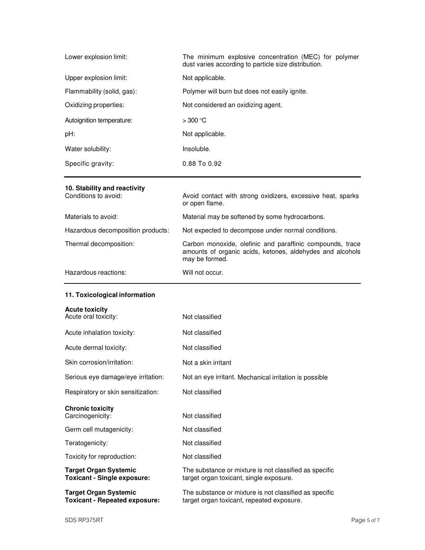| Lower explosion limit:     | The minimum explosive concentration (MEC) for polymer<br>dust varies according to particle size distribution. |
|----------------------------|---------------------------------------------------------------------------------------------------------------|
| Upper explosion limit:     | Not applicable.                                                                                               |
| Flammability (solid, gas): | Polymer will burn but does not easily ignite.                                                                 |
| Oxidizing properties:      | Not considered an oxidizing agent.                                                                            |
| Autoignition temperature:  | $>300$ °C                                                                                                     |
| pH:                        | Not applicable.                                                                                               |
| Water solubility:          | Insoluble.                                                                                                    |
| Specific gravity:          | $0.88$ To $0.92$                                                                                              |

# **10. Stability and reactivity**

| Conditions to avoid:              | Avoid contact with strong oxidizers, excessive heat, sparks<br>or open flame.                                                            |
|-----------------------------------|------------------------------------------------------------------------------------------------------------------------------------------|
| Materials to avoid:               | Material may be softened by some hydrocarbons.                                                                                           |
| Hazardous decomposition products: | Not expected to decompose under normal conditions.                                                                                       |
| Thermal decomposition:            | Carbon monoxide, olefinic and paraffinic compounds, trace<br>amounts of organic acids, ketones, aldehydes and alcohols<br>may be formed. |
| Hazardous reactions:              | Will not occur.                                                                                                                          |

# **11. Toxicological information**

| <b>Acute toxicity</b> |  |  |
|-----------------------|--|--|
|                       |  |  |

| Acute oral toxicity:                                                 | Not classified                                                                                      |
|----------------------------------------------------------------------|-----------------------------------------------------------------------------------------------------|
| Acute inhalation toxicity:                                           | Not classified                                                                                      |
| Acute dermal toxicity:                                               | Not classified                                                                                      |
| Skin corrosion/irritation:                                           | Not a skin irritant                                                                                 |
| Serious eye damage/eye irritation:                                   | Not an eye irritant. Mechanical irritation is possible                                              |
| Respiratory or skin sensitization:                                   | Not classified                                                                                      |
| <b>Chronic toxicity</b><br>Carcinogenicity:                          | Not classified                                                                                      |
| Germ cell mutagenicity:                                              | Not classified                                                                                      |
| Teratogenicity:                                                      | Not classified                                                                                      |
| Toxicity for reproduction:                                           | Not classified                                                                                      |
| <b>Target Organ Systemic</b><br><b>Toxicant - Single exposure:</b>   | The substance or mixture is not classified as specific<br>target organ toxicant, single exposure.   |
| <b>Target Organ Systemic</b><br><b>Toxicant - Repeated exposure:</b> | The substance or mixture is not classified as specific<br>target organ toxicant, repeated exposure. |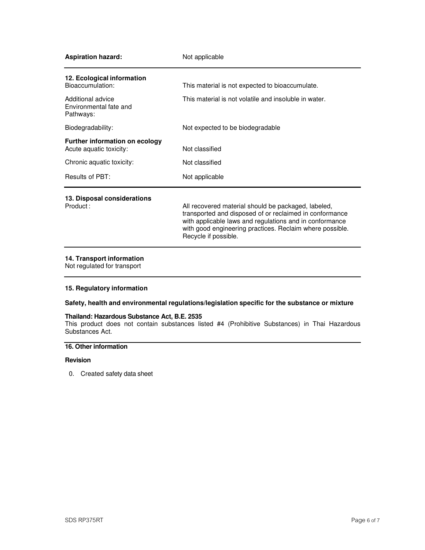| <b>Aspiration hazard:</b>                                        | Not applicable                                                                                                                                                                                                                                                |
|------------------------------------------------------------------|---------------------------------------------------------------------------------------------------------------------------------------------------------------------------------------------------------------------------------------------------------------|
| 12. Ecological information<br>Bioaccumulation:                   | This material is not expected to bioaccumulate.                                                                                                                                                                                                               |
| Additional advice<br>Environmental fate and<br>Pathways:         | This material is not volatile and insoluble in water.                                                                                                                                                                                                         |
| Biodegradability:                                                | Not expected to be biodegradable                                                                                                                                                                                                                              |
| <b>Further information on ecology</b><br>Acute aquatic toxicity: | Not classified                                                                                                                                                                                                                                                |
| Chronic aquatic toxicity:                                        | Not classified                                                                                                                                                                                                                                                |
| Results of PBT:                                                  | Not applicable                                                                                                                                                                                                                                                |
| 13. Disposal considerations<br>Product:                          | All recovered material should be packaged, labeled,<br>transported and disposed of or reclaimed in conformance<br>with applicable laws and regulations and in conformance<br>with good engineering practices. Reclaim where possible.<br>Recycle if possible. |

# **14. Transport information**

Not regulated for transport

### **15. Regulatory information**

# **Safety, health and environmental regulations/legislation specific for the substance or mixture**

### **Thailand: Hazardous Substance Act, B.E. 2535**

This product does not contain substances listed #4 (Prohibitive Substances) in Thai Hazardous Substances Act.

### **16. Other information**

## **Revision**

0. Created safety data sheet